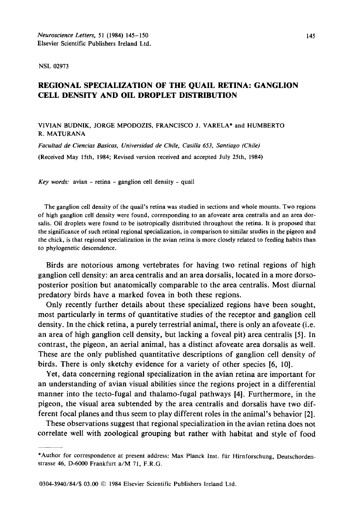NSL 02973

## REGIONAL SPECIALIZATION OF THE QUAIL RETINA: GANGLION CELL DENSITY AND OIL DROPLET DISTRIBUTION

## VIVIAN BUDNIK, JORGE MPODOZIS, FRANCISCO J. VARELA\* and HUMBERTO R. MATURANA

*Facultad de Ciencias Basicas, Universidad de Chile, Casilla 653, Santiago (Chile)*  (Received May 15th, 1984; Revised version received and accepted July 25th, 1984)

*Key words:* avian - retina - ganglion cell density - quail

The ganglion cell density of the quail's retina was studied in sections and whole mounts. Two regions of high ganglion cell density were found, corresponding to an afoveate area centralis and an area dorsalis. Oil droplets were found to be isotropically distributed throughout the retina. It is proposed that the significance of such retinal regional specialization, in comparison to similar studies in the pigeon and the chick, is that regional specialization in the avian retina is more closely related to feeding habits than to phylogenetic descendence.

Birds are notorious among vertebrates for having two retinal regions of high ganglion cell density: an area centralis and an area dorsalis, located in a more dorsoposterior position but anatomically comparable to the area centralis. Most diurnal predatory birds have a marked fovea in both these regions.

Only recently further details about these specialized regions have been sought, most particularly in terms of quantitative studies of the receptor and ganglion cell density. In the chick retina, a purely terrestrial animal, there is only an afoveate (i.e. an area of high ganglion cell density, but lacking a foveal pit) area centralis [5]. In contrast, the pigeon, an aerial animal, has a distinct afoveate area dorsalis as well. These are the only published quantitative descriptions of ganglion cell density of birds. There is only sketchy evidence for a variety of other species [6, 10].

Yet, data concerning regional specialization in the avian retina are important for an understanding of avian visual abilities since the regions project in a differential manner into the tecto-fugal and thalamo-fugal pathways [4]. Furthermore, in the pigeon, the visual area subtended by the area centralis and dorsalis have two different focal planes and thus seem to play different roles in the animal's behavior [2].

These observations suggest that regional specialization in the avian retina does not correlate well with zoological grouping but rather with habitat and style of food

<sup>\*</sup>Author for correspondence at present address: Max Planck Inst. für Hirnforschung, Deutschordenstrasse 46, D-6000 Frankfurt a/M 71, F.R.G.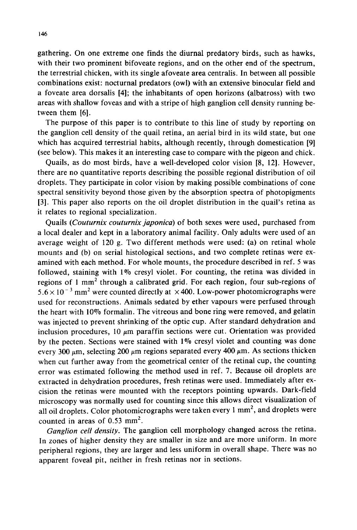gathering. On one extreme one finds the diurnal predatory birds, such as hawks, with their two prominent bifoveate regions, and on the other end of the spectrum, the terrestrial chicken, with its single afoveate area centralis. In between all possible combinations exist: nocturnal predators (owl) with an extensive binocular field and a foveate area dorsalis [4]; the inhabitants of open horizons (albatross) with two areas with shallow foveas and with a stripe of high ganglion cell density running between them [6].

The purpose of this paper is to contribute to this line of study by reporting on the ganglion cell density of the quail retina, an aerial bird in its wild state, but one which has acquired terrestrial habits, although recently, through domestication [9] (see below). This makes it an interesting case to compare with the pigeon and chick.

Quails, as do most birds, have a well-developed color vision [8, 12]. However, there are no quantitative reports describing the possible regional distribution of oil droplets. They participate in color vision by making possible combinations of cone spectral sensitivity beyond those given by the absorption spectra of photopigments [3]. This paper also reports on the oil droplet distribution in the quail's retina as it relates to regional specialization.

Quails *(Couturnix couturnix japonica)* of both sexes were used, purchased from a local dealer and kept in a laboratory animal facility. Only adults were used of an average weight of 120 g. Two different methods were used: (a) on retinal whole mounts and (b) on serial histological sections, and two complete retinas were examined with each method. For whole mounts, the procedure described in ref. 5 was followed, staining with  $1\%$  cresyl violet. For counting, the retina was divided in regions of 1 mm<sup>2</sup> through a calibrated grid. For each region, four sub-regions of  $5.6 \times 10^{-3}$  mm<sup>2</sup> were counted directly at  $\times$  400. Low-power photomicrographs were used for reconstructions. Animals sedated by ether vapours were perfused through the heart with 10% formalin. The vitreous and bone ring were removed, and gelatin was injected to prevent shrinking of the optic cup. After standard dehydration and inclusion procedures, 10  $\mu$ m paraffin sections were cut. Orientation was provided by the pecten. Sections were stained with 1% cresyl violet and counting was done every 300  $\mu$ m, selecting 200  $\mu$ m regions separated every 400  $\mu$ m. As sections thicken when cut further away from the geometrical center of the retinal cup, the counting error was estimated following the method used in ref. 7. Because oil droplets are extracted in dehydration procedures, fresh retinas were used. Immediately after excision the retinas were mounted with the receptors pointing upwards. Dark-field microscopy was normally used for counting since this allows direct visualization of all oil droplets. Color photomicrographs were taken every  $1 \text{ mm}^2$ , and droplets were counted in areas of  $0.53$  mm<sup>2</sup>.

*Ganglion cell density.* The ganglion cell morphology changed across the retina. In zones of higher density they are smaller in size and are more uniform. In more peripheral regions, they are larger and less uniform in overall shape. There was no apparent foveal pit, neither in fresh retinas nor in sections.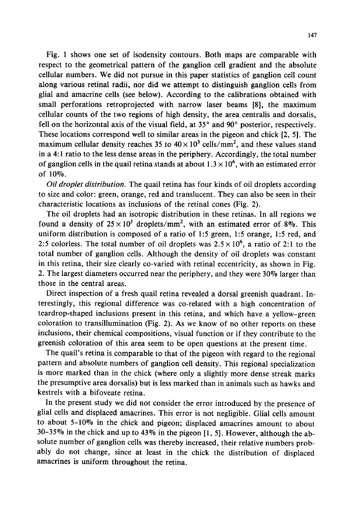Fig. 1 shows one set of isodensity contours. Both maps are comparable with respect to the geometrical pattern of the ganglion cell gradient and the absolute cellular numbers. We did not pursue in this paper statistics of ganglion cell count along various retinal radii, nor did we attempt to distinguish ganglion cells from glial and amacrine cells (see below). According to the calibrations obtained with small perforations retroprojected with narrow laser beams [8], the maximum cellular counts of the two regions of high density, the area centralis and dorsalis, fell on the horizontal axis of the visual field, at  $35^\circ$  and  $90^\circ$  posterior, respectively. These locations correspond well to similar areas in the pigeon and chick [2, 5]. The maximum cellular density reaches 35 to  $40 \times 10^3$  cells/mm<sup>2</sup>, and these values stand in a 4:1 ratio to the less dense areas in the periphery. Accordingly, the total number of ganglion cells in the quail retina stands at about  $1.3 \times 10^6$ , with an estimated error of 10%.

*Oil droplet distribution.* The quail retina has four kinds of oil droplets according to size and color: green, orange, red and translucent. They can also be seen in their characteristic locations as inclusions of the retinal cones (Fig. 2).

The oil droplets had an isotropic distribution in these retinas. In all regions we found a density of  $25 \times 10^3$  droplets/mm<sup>2</sup>, with an estimated error of 8%. This uniform distribution is composed of a ratio of 1:5 green, 1:5 orange, 1:5 red, and 2:5 colorless. The total number of oil droplets was  $2.5 \times 10^6$ , a ratio of 2:1 to the total number of ganglion cells. Although the density of oil droplets was constant in this retina, their size clearly co-varied with retinal eccentricity, as shown in Fig. 2. The largest diameters occurred near the periphery, and they were 30% larger than those in the central areas.

Direct inspection of a fresh quail retina revealed a dorsal greenish quadrant. Interestingly, this regional difference was co-related with a high concentration of teardrop-shaped inclusions present in this retina, and which have a yellow-green coloration to transillumination (Fig. 2). As we know of no other reports on these inclusions, their chemical compositions, visual function or if they contribute to the greenish coloration of this area seem to be open questions at the present time.

The quail's retina is comparable to that of the pigeon with regard to the regional pattern and absolute numbers of ganglion cell density. This regional specialization is more marked than in the chick (where only a slightly more dense streak marks the presumptive area dorsalis) but is less marked than in animals such as hawks and kestrels with a bifoveate retina.

In the present study we did not consider the error introduced by the presence of glial cells and displaced amacrines. This error is not negligible. Glial cells amount to about 5-10% in the chick and pigeon; displaced amacrines amount to about 30-35% in the chick and up to 43% in the pigeon [l, 5]. However, although the absolute number of ganglion cells was thereby increased, their relative numbers probably do not change, since at least in the chick the distribution of displaced amacrines is uniform throughout the retina.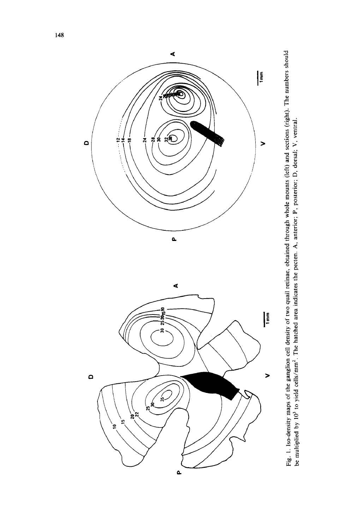

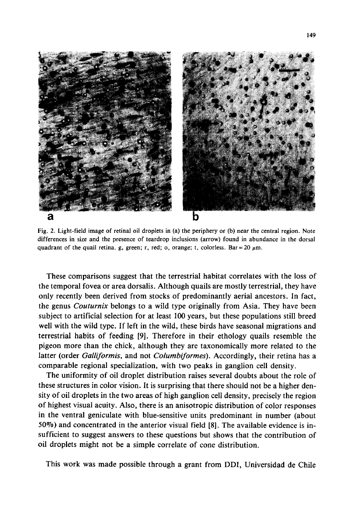

Fig. 2. Light-field image of retinal oil droplets in (a) the periphery or (b) near the central region. Note differences in size and the presence of teardrop inclusions (arrow) found in abundance in the dorsal quadrant of the quail retina, g, green; r, red; o, orange; t, colorless. Bar = 20  $\mu$ m.

These comparisons suggest that the terrestrial habitat correlates with the loss of the temporal fovea or area dorsalis. Although quails are mostly terrestrial, they have only recently been derived from stocks of predominantly aerial ancestors. In fact, the genus *Couturnix* belongs to a wild type originally from Asia. They have been subject to artificial selection for at least 100 years, but these populations still breed well with the wild type. If left in the wild, these birds have seasonal migrations and terrestrial habits of feeding [9]. Therefore in their ethology quails resemble the pigeon more than the chick, although they are taxonomically more related to the latter (order *Galliformis,* and not *Columbiformes).* Accordingly, their retina has a comparable regional specialization, with two peaks in ganglion cell density.

The uniformity of oil droplet distribution raises several doubts about the role of these structures in color vision. It is surprising that there should not be a higher density of oil droplets in the two areas of high ganglion cell density, precisely the region of highest visual acuity. Also, there is an anisotropic distribution of color responses in the ventral geniculate with blue-sensitive units predominant in number (about  $50\%$ ) and concentrated in the anterior visual field [8]. The available evidence is insufficient to suggest answers to these questions but shows that the contribution of oil droplets might not be a simple correlate of cone distribution.

This work was made possible through a grant from DDI, Universidad de Chile